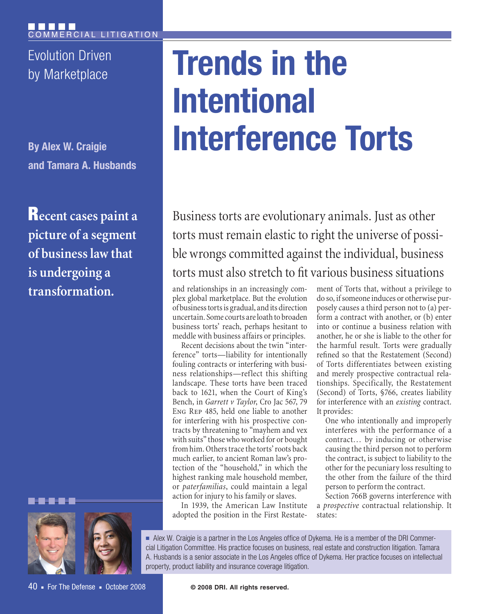Evolution Driven

**By Alex W. Craigie and Tamara A. Husbands**

Recent cases paint a picture of a segment of business law that is undergoing a transformation.



# Evolution Driven<br>by Marketplace **Trends in the Intentional Interference Torts**

Business torts are evolutionary animals. Just as other torts must remain elastic to right the universe of possible wrongs committed against the individual, business torts must also stretch to fit various business situations

and relationships in an increasingly complex global marketplace. But the evolution of business torts is gradual, and its direction uncertain. Some courts are loath to broaden business torts' reach, perhaps hesitant to meddle with business affairs or principles.

Recent decisions about the twin "interference" torts—liability for intentionally fouling contracts or interfering with business relationships—reflect this shifting landscape. These torts have been traced back to 1621, when the Court of King's Bench, in *Garrett v Taylor*, Cro Jac 567, 79 Eng Rep 485, held one liable to another for interfering with his prospective contracts by threatening to "mayhem and vex with suits" those who worked for or bought from him. Others trace the torts' roots back much earlier, to ancient Roman law's protection of the "household," in which the highest ranking male household member, or *paterfamilias*, could maintain a legal action for injury to his family or slaves.

In 1939, the American Law Institute adopted the position in the First Restatement of Torts that, without a privilege to do so, if someone induces or otherwise purposely causes a third person not to (a) perform a contract with another, or (b) enter into or continue a business relation with another, he or she is liable to the other for the harmful result. Torts were gradually refined so that the Restatement (Second) of Torts differentiates between existing and merely prospective contractual relationships. Specifically, the Restatement (Second) of Torts, §766, creates liability for interference with an *existing* contract. It provides:

One who intentionally and improperly interferes with the performance of a contract… by inducing or otherwise causing the third person not to perform the contract, is subject to liability to the other for the pecuniary loss resulting to the other from the failure of the third person to perform the contract.

Section 766B governs interference with a *prospective* contractual relationship. It states:

<sup>n</sup> Alex W. Craigie is a partner in the Los Angeles office of Dykema. He is a member of the DRI Commercial Litigation Committee. His practice focuses on business, real estate and construction litigation. Tamara A. Husbands is a senior associate in the Los Angeles office of Dykema. Her practice focuses on intellectual property, product liability and insurance coverage litigation.

40 • For The Defense • October 2008

**© 2008 DRI. All rights reserved.**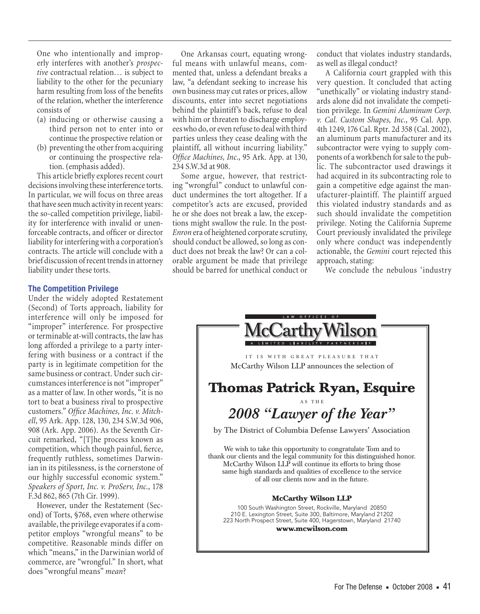One who intentionally and improperly interferes with another's *prospective* contractual relation… is subject to liability to the other for the pecuniary harm resulting from loss of the benefits of the relation, whether the interference consists of

- (a) inducing or otherwise causing a third person not to enter into or continue the prospective relation or
- (b) preventing the other from acquiring or continuing the prospective relation. (emphasis added).

This article briefly explores recent court decisions involving these interference torts. In particular, we will focus on three areas that have seen much activity in recent years: the so-called competition privilege, liability for interference with invalid or unenforceable contracts, and officer or director liability for interfering with a corporation's contracts. The article will conclude with a brief discussion of recent trends in attorney liability under these torts.

#### **The Competition Privilege**

Under the widely adopted Restatement (Second) of Torts approach, liability for interference will only be imposed for "improper" interference. For prospective or terminable at-will contracts, the law has long afforded a privilege to a party interfering with business or a contract if the party is in legitimate competition for the same business or contract. Under such circumstances interference is not "improper" as a matter of law. In other words, "it is no tort to beat a business rival to prospective customers." *Office Machines, Inc. v. Mitchell*, 95 Ark. App. 128, 130, 234 S.W.3d 906, 908 (Ark. App. 2006). As the Seventh Circuit remarked, "[T]he process known as competition, which though painful, fierce, frequently ruthless, sometimes Darwinian in its pitilessness, is the cornerstone of our highly successful economic system." *Speakers of Sport, Inc. v. ProServ, Inc.*, 178 F.3d 862, 865 (7th Cir. 1999).

However, under the Restatement (Second) of Torts, §768, even where otherwise available, the privilege evaporates if a competitor employs "wrongful means" to be competitive. Reasonable minds differ on which "means," in the Darwinian world of commerce, are "wrongful." In short, what does "wrongful means" *mean*?

One Arkansas court, equating wrongful means with unlawful means, commented that, unless a defendant breaks a law, "a defendant seeking to increase his own business may cut rates or prices, allow discounts, enter into secret negotiations behind the plaintiff's back, refuse to deal with him or threaten to discharge employees who do, or even refuse to deal with third parties unless they cease dealing with the plaintiff, all without incurring liability." *Office Machines, Inc.*, 95 Ark. App. at 130, 234 S.W.3d at 908.

Some argue, however, that restricting "wrongful" conduct to unlawful conduct undermines the tort altogether. If a competitor's acts are excused, provided he or she does not break a law, the exceptions might swallow the rule. In the post-*Enron* era of heightened corporate scrutiny, should conduct be allowed, so long as conduct does not break the law? Or can a colorable argument be made that privilege should be barred for unethical conduct or conduct that violates industry standards, as well as illegal conduct?

A California court grappled with this very question. It concluded that acting "unethically" or violating industry standards alone did not invalidate the competition privilege. In *Gemini Aluminum Corp. v. Cal. Custom Shapes, Inc.*, 95 Cal. App. 4th 1249, 176 Cal. Rptr. 2d 358 (Cal. 2002), an aluminum parts manufacturer and its subcontractor were vying to supply components of a workbench for sale to the public. The subcontractor used drawings it had acquired in its subcontracting role to gain a competitive edge against the manufacturer-plaintiff. The plaintiff argued this violated industry standards and as such should invalidate the competition privilege. Noting the California Supreme Court previously invalidated the privilege only where conduct was independently actionable, the *Gemini* court rejected this approach, stating:

We conclude the nebulous 'industry

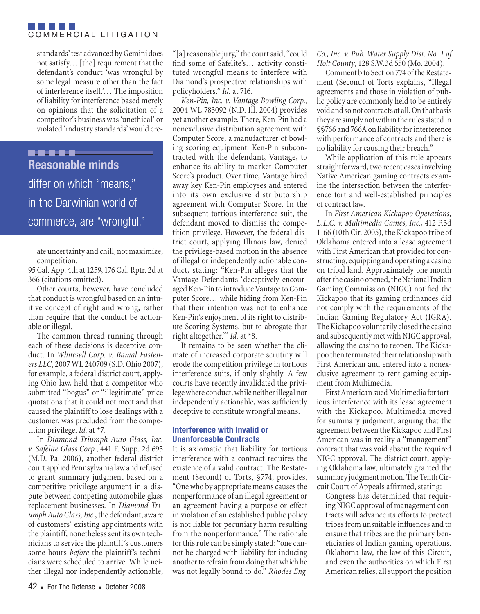### FI EL FI EL F COMMERCIAL LITIGATION

standards' test advanced by Gemini does not satisfy… [the] requirement that the defendant's conduct 'was wrongful by some legal measure other than the fact of interference itself.'… The imposition of liability for interference based merely on opinions that the solicitation of a competitor's business was 'unethical' or violated 'industry standards' would cre-

**B-9-6-6-6 Reasonable minds**  differ on which "means," in the Darwinian world of commerce, are "wrongful."

ate uncertainty and chill, not maximize, competition.

95 Cal. App. 4th at 1259, 176 Cal. Rptr. 2d at 366 (citations omitted).

Other courts, however, have concluded that conduct is wrongful based on an intuitive concept of right and wrong, rather than require that the conduct be actionable or illegal.

The common thread running through each of these decisions is deceptive conduct. In *Whitesell Corp. v. Bamal Fasteners LLC*, 2007 WL 240709 (S.D. Ohio 2007), for example, a federal district court, applying Ohio law, held that a competitor who submitted "bogus" or "illegitimate" price quotations that it could not meet and that caused the plaintiff to lose dealings with a customer, was precluded from the competition privilege. *Id.* at \*7.

In *Diamond Triumph Auto Glass, Inc. v. Safelite Glass Corp.*, 441 F. Supp. 2d 695 (M.D. Pa. 2006), another federal district court applied Pennsylvania law and refused to grant summary judgment based on a competitive privilege argument in a dispute between competing automobile glass replacement businesses. In *Diamond Triumph Auto Glass, Inc.*, the defendant, aware of customers' existing appointments with the plaintiff, nonetheless sent its own technicians to service the plaintiff's customers some hours *before* the plaintiff's technicians were scheduled to arrive. While neither illegal nor independently actionable,

"[a] reasonable jury," the court said, "could find some of Safelite's… activity constituted wrongful means to interfere with Diamond's prospective relationships with policyholders." *Id.* at 716.

*Ken-Pin, Inc. v. Vantage Bowling Corp.*, 2004 WL 783092 (N.D. Ill. 2004) provides yet another example. There, Ken-Pin had a nonexclusive distribution agreement with Computer Score, a manufacturer of bowling scoring equipment. Ken-Pin subcontracted with the defendant, Vantage, to enhance its ability to market Computer Score's product. Over time, Vantage hired away key Ken-Pin employees and entered into its own exclusive distributorship agreement with Computer Score. In the subsequent tortious interference suit, the defendant moved to dismiss the competition privilege. However, the federal district court, applying Illinois law, denied the privilege-based motion in the absence of illegal or independently actionable conduct, stating: "Ken-Pin alleges that the Vantage Defendants 'deceptively encouraged Ken-Pin to introduce Vantage to Computer Score… while hiding from Ken-Pin that their intention was not to enhance Ken-Pin's enjoyment of its right to distribute Scoring Systems, but to abrogate that right altogether.'" *Id.* at \*8.

It remains to be seen whether the climate of increased corporate scrutiny will erode the competition privilege in tortious interference suits, if only slightly. A few courts have recently invalidated the privilege where conduct, while neither illegal nor independently actionable, was sufficiently deceptive to constitute wrongful means.

# **Interference with Invalid or Unenforceable Contracts**

It is axiomatic that liability for tortious interference with a contract requires the existence of a valid contract. The Restatement (Second) of Torts, §774, provides, "One who by appropriate means causes the nonperformance of an illegal agreement or an agreement having a purpose or effect in violation of an established public policy is not liable for pecuniary harm resulting from the nonperformance." The rationale for this rule can be simply stated: "one cannot be charged with liability for inducing another to refrain from doing that which he was not legally bound to do." *Rhodes Eng.* 

*Co., Inc. v. Pub. Water Supply Dist. No. 1 of Holt County*, 128 S.W.3d 550 (Mo. 2004).

Comment b to Section 774 of the Restatement (Second) of Torts explains, "Illegal agreements and those in violation of public policy are commonly held to be entirely void and so not contracts at all. On that basis they are simply not within the rules stated in §§766 and 766A on liability for interference with performance of contracts and there is no liability for causing their breach."

While application of this rule appears straightforward, two recent cases involving Native American gaming contracts examine the intersection between the interference tort and well-established principles of contract law.

In *First American Kickapoo Operations, L.L.C. v. Multimedia Games, Inc.*, 412 F.3d 1166 (10th Cir. 2005), the Kickapoo tribe of Oklahoma entered into a lease agreement with First American that provided for constructing, equipping and operating a casino on tribal land. Approximately one month after the casino opened, the National Indian Gaming Commission (NIGC) notified the Kickapoo that its gaming ordinances did not comply with the requirements of the Indian Gaming Regulatory Act (IGRA). The Kickapoo voluntarily closed the casino and subsequently met with NIGC approval, allowing the casino to reopen. The Kickapoo then terminated their relationship with First American and entered into a nonexclusive agreement to rent gaming equipment from Multimedia.

First American sued Multimedia for tortious interference with its lease agreement with the Kickapoo. Multimedia moved for summary judgment, arguing that the agreement between the Kickapoo and First American was in reality a "management" contract that was void absent the required NIGC approval. The district court, applying Oklahoma law, ultimately granted the summary judgment motion. The Tenth Circuit Court of Appeals affirmed, stating:

Congress has determined that requiring NIGC approval of management contracts will advance its efforts to protect tribes from unsuitable influences and to ensure that tribes are the primary beneficiaries of Indian gaming operations. Oklahoma law, the law of this Circuit, and even the authorities on which First American relies, all support the position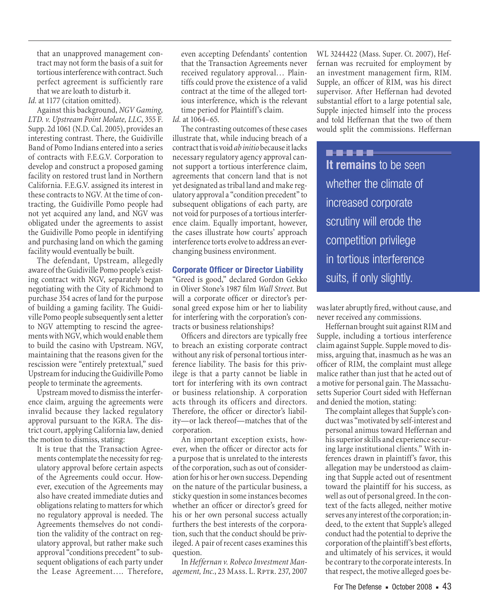that an unapproved management contract may not form the basis of a suit for tortious interference with contract. Such perfect agreement is sufficiently rare that we are loath to disturb it.

Id. at 1177 (citation omitted).

Against this background, *NGV Gaming, LTD. v. Upstream Point Molate, LLC*, 355 F. Supp. 2d 1061 (N.D. Cal. 2005), provides an interesting contrast. There, the Guidiville Band of Pomo Indians entered into a series of contracts with F.E.G.V. Corporation to develop and construct a proposed gaming facility on restored trust land in Northern California. F.E.G.V. assigned its interest in these contracts to NGV. At the time of contracting, the Guidiville Pomo people had not yet acquired any land, and NGV was obligated under the agreements to assist the Guidiville Pomo people in identifying and purchasing land on which the gaming facility would eventually be built.

The defendant, Upstream, allegedly aware of the Guidiville Pomo people's existing contract with NGV, separately began negotiating with the City of Richmond to purchase 354 acres of land for the purpose of building a gaming facility. The Guidiville Pomo people subsequently sent a letter to NGV attempting to rescind the agreements with NGV, which would enable them to build the casino with Upstream. NGV, maintaining that the reasons given for the rescission were "entirely pretextual," sued Upstream for inducing the Guidiville Pomo people to terminate the agreements.

Upstream moved to dismiss the interference claim, arguing the agreements were invalid because they lacked regulatory approval pursuant to the IGRA. The district court, applying California law, denied the motion to dismiss, stating:

It is true that the Transaction Agreements contemplate the necessity for regulatory approval before certain aspects of the Agreements could occur. However, execution of the Agreements may also have created immediate duties and obligations relating to matters for which no regulatory approval is needed. The Agreements themselves do not condition the validity of the contract on regulatory approval, but rather make such approval "conditions precedent" to subsequent obligations of each party under the Lease Agreement…. Therefore,

even accepting Defendants' contention that the Transaction Agreements never received regulatory approval… Plaintiffs could prove the existence of a valid contract at the time of the alleged tortious interference, which is the relevant time period for Plaintiff's claim.

*Id.* at 1064–65.

The contrasting outcomes of these cases illustrate that, while inducing breach of a contract that is void *ab initio* because it lacks necessary regulatory agency approval cannot support a tortious interference claim, agreements that concern land that is not yet designated as tribal land and make regulatory approval a "condition precedent" to subsequent obligations of each party, are not void for purposes of a tortious interference claim. Equally important, however, the cases illustrate how courts' approach interference torts evolve to address an everchanging business environment.

#### **Corporate Officer or Director Liability**

"Greed is good," declared Gordon Gekko in Oliver Stone's 1987 film *Wall Street*. But will a corporate officer or director's personal greed expose him or her to liability for interfering with the corporation's contracts or business relationships?

Officers and directors are typically free to breach an existing corporate contract without any risk of personal tortious interference liability. The basis for this privilege is that a party cannot be liable in tort for interfering with its own contract or business relationship. A corporation acts through its officers and directors. Therefore, the officer or director's liability—or lack thereof—matches that of the corporation.

An important exception exists, however, when the officer or director acts for a purpose that is unrelated to the interests of the corporation, such as out of consideration for his or her own success. Depending on the nature of the particular business, a sticky question in some instances becomes whether an officer or director's greed for his or her own personal success actually furthers the best interests of the corporation, such that the conduct should be privileged. A pair of recent cases examines this question.

In *Heffernan v. Robeco Investment Man*agement, Inc., 23 MAss. L. RPTR. 237, 2007

WL 3244422 (Mass. Super. Ct. 2007), Heffernan was recruited for employment by an investment management firm, RIM. Supple, an officer of RIM, was his direct supervisor. After Heffernan had devoted substantial effort to a large potential sale, Supple injected himself into the process and told Heffernan that the two of them would split the commissions. Heffernan

**..... It remains** to be seen whether the climate of increased corporate scrutiny will erode the competition privilege in tortious interference suits, if only slightly.

was later abruptly fired, without cause, and never received any commissions.

Heffernan brought suit against RIM and Supple, including a tortious interference claim against Supple. Supple moved to dismiss, arguing that, inasmuch as he was an officer of RIM, the complaint must allege malice rather than just that he acted out of a motive for personal gain. The Massachusetts Superior Court sided with Heffernan and denied the motion, stating:

The complaint alleges that Supple's conduct was "motivated by self-interest and personal animus toward Heffernan and his superior skills and experience securing large institutional clients." With inferences drawn in plaintiff's favor, this allegation may be understood as claiming that Supple acted out of resentment toward the plaintiff for his success, as well as out of personal greed. In the context of the facts alleged, neither motive serves any interest of the corporation; indeed, to the extent that Supple's alleged conduct had the potential to deprive the corporation of the plaintiff's best efforts, and ultimately of his services, it would be contrary to the corporate interests. In that respect, the motive alleged goes be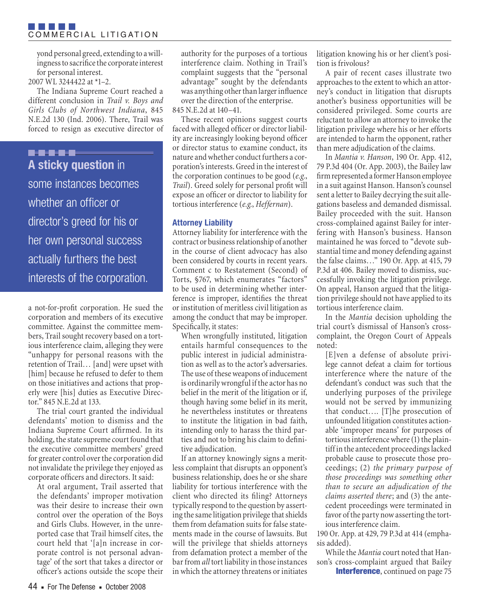yond personal greed, extending to a willingness to sacrifice the corporate interest for personal interest.

# 2007 WL 3244422 at \*1–2.

The Indiana Supreme Court reached a different conclusion in *Trail v. Boys and Girls Clubs of Northwest Indiana*, 845 N.E.2d 130 (Ind. 2006). There, Trail was forced to resign as executive director of

# **.....**

**A sticky question** in some instances becomes whether an officer or director's greed for his or her own personal success actually furthers the best interests of the corporation.

a not-for-profit corporation. He sued the corporation and members of its executive committee. Against the committee members, Trail sought recovery based on a tortious interference claim, alleging they were "unhappy for personal reasons with the retention of Trail… [and] were upset with [him] because he refused to defer to them on those initiatives and actions that properly were [his] duties as Executive Director." 845 N.E.2d at 133.

The trial court granted the individual defendants' motion to dismiss and the Indiana Supreme Court affirmed. In its holding, the state supreme court found that the executive committee members' greed for greater control over the corporation did not invalidate the privilege they enjoyed as corporate officers and directors. It said:

At oral argument, Trail asserted that the defendants' improper motivation was their desire to increase their own control over the operation of the Boys and Girls Clubs. However, in the unreported case that Trail himself cites, the court held that '[a]n increase in corporate control is not personal advantage' of the sort that takes a director or officer's actions outside the scope their

authority for the purposes of a tortious interference claim. Nothing in Trail's complaint suggests that the "personal advantage" sought by the defendants was anything other than larger influence over the direction of the enterprise.

845 N.E.2d at 140–41.

These recent opinions suggest courts faced with alleged officer or director liability are increasingly looking beyond officer or director status to examine conduct, its nature and whether conduct furthers a corporation's interests. Greed in the interest of the corporation continues to be good (*e.g.*, *Trail*). Greed solely for personal profit will expose an officer or director to liability for tortious interference (*e.g.*, *Heffernan*).

# **Attorney Liability**

Attorney liability for interference with the contract or business relationship of another in the course of client advocacy has also been considered by courts in recent years. Comment c to Restatement (Second) of Torts, §767, which enumerates "factors" to be used in determining whether interference is improper, identifies the threat or institution of meritless civil litigation as among the conduct that may be improper. Specifically, it states:

When wrongfully instituted, litigation entails harmful consequences to the public interest in judicial administration as well as to the actor's adversaries. The use of these weapons of inducement is ordinarily wrongful if the actor has no belief in the merit of the litigation or if, though having some belief in its merit, he nevertheless institutes or threatens to institute the litigation in bad faith, intending only to harass the third parties and not to bring his claim to definitive adjudication.

If an attorney knowingly signs a meritless complaint that disrupts an opponent's business relationship, does he or she share liability for tortious interference with the client who directed its filing? Attorneys typically respond to the question by asserting the same litigation privilege that shields them from defamation suits for false statements made in the course of lawsuits. But will the privilege that shields attorneys from defamation protect a member of the bar from *all* tort liability in those instances in which the attorney threatens or initiates litigation knowing his or her client's position is frivolous?

A pair of recent cases illustrate two approaches to the extent to which an attorney's conduct in litigation that disrupts another's business opportunities will be considered privileged. Some courts are reluctant to allow an attorney to invoke the litigation privilege where his or her efforts are intended to harm the opponent, rather than mere adjudication of the claims.

In *Mantia v. Hanson*, 190 Or. App. 412, 79 P.3d 404 (Or. App. 2003), the Bailey law firm represented a former Hanson employee in a suit against Hanson. Hanson's counsel sent a letter to Bailey decrying the suit allegations baseless and demanded dismissal. Bailey proceeded with the suit. Hanson cross-complained against Bailey for interfering with Hanson's business. Hanson maintained he was forced to "devote substantial time and money defending against the false claims…" 190 Or. App. at 415, 79 P.3d at 406. Bailey moved to dismiss, successfully invoking the litigation privilege. On appeal, Hanson argued that the litigation privilege should not have applied to its tortious interference claim.

In the *Mantia* decision upholding the trial court's dismissal of Hanson's crosscomplaint, the Oregon Court of Appeals noted:

[E]ven a defense of absolute privilege cannot defeat a claim for tortious interference where the nature of the defendant's conduct was such that the underlying purposes of the privilege would not be served by immunizing that conduct…. [T]he prosecution of unfounded litigation constitutes actionable 'improper means' for purposes of tortious interference where (1) the plaintiff in the antecedent proceedings lacked probable cause to prosecute those proceedings; (2) *the primary purpose of those proceedings was something other than to secure an adjudication of the claims asserted there*; and (3) the antecedent proceedings were terminated in favor of the party now asserting the tortious interference claim.

190 Or. App. at 429, 79 P.3d at 414 (emphasis added).

While the *Mantia* court noted that Hanson's cross-complaint argued that Bailey **Interference**, continued on page 75